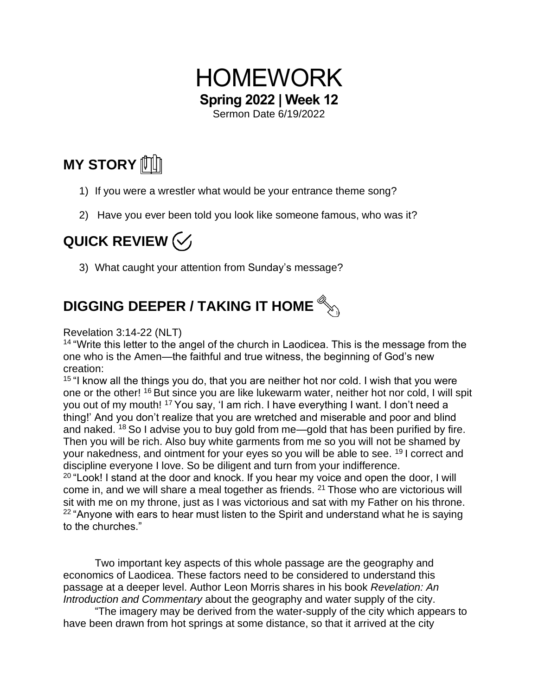

**MY STORY** 【

- 1) If you were a wrestler what would be your entrance theme song?
- 2) Have you ever been told you look like someone famous, who was it?

## QUICK REVIEW  $\left\langle \sqrt{\ }$

3) What caught your attention from Sunday's message?

## **DIGGING DEEPER / TAKING IT HOME**

Revelation 3:14-22 (NLT)

<sup>14</sup> "Write this letter to the angel of the church in Laodicea. This is the message from the one who is the Amen—the faithful and true witness, the beginning of God's new creation:

<sup>15</sup> "I know all the things you do, that you are neither hot nor cold. I wish that you were one or the other! <sup>16</sup> But since you are like lukewarm water, neither hot nor cold, I will spit you out of my mouth! <sup>17</sup> You say, 'I am rich. I have everything I want. I don't need a thing!' And you don't realize that you are wretched and miserable and poor and blind and naked. <sup>18</sup> So I advise you to buy gold from me—gold that has been purified by fire. Then you will be rich. Also buy white garments from me so you will not be shamed by your nakedness, and ointment for your eyes so you will be able to see. <sup>19</sup> I correct and discipline everyone I love. So be diligent and turn from your indifference.

 $20$  "Look! I stand at the door and knock. If you hear my voice and open the door, I will come in, and we will share a meal together as friends. <sup>21</sup> Those who are victorious will sit with me on my throne, just as I was victorious and sat with my Father on his throne.  $22$  "Anyone with ears to hear must listen to the Spirit and understand what he is saying to the churches."

Two important key aspects of this whole passage are the geography and economics of Laodicea. These factors need to be considered to understand this passage at a deeper level. Author Leon Morris shares in his book *Revelation: An Introduction and Commentary* about the geography and water supply of the city.

"The imagery may be derived from the water-supply of the city which appears to have been drawn from hot springs at some distance, so that it arrived at the city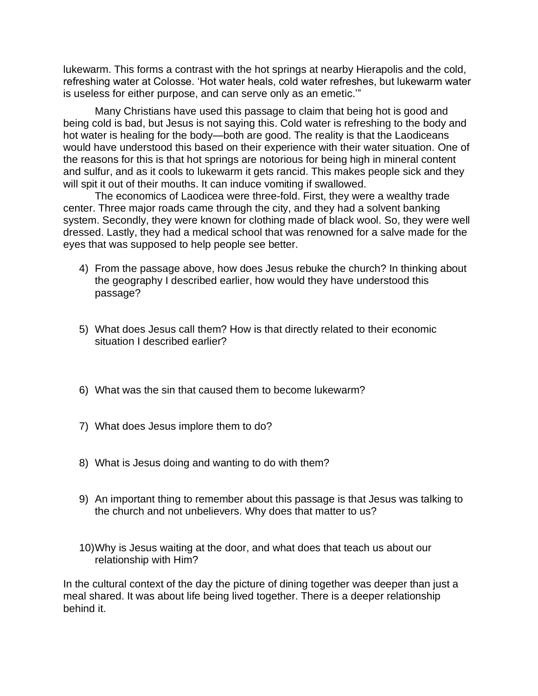lukewarm. This forms a contrast with the hot springs at nearby Hierapolis and the cold, refreshing water at Colosse. 'Hot water heals, cold water refreshes, but lukewarm water is useless for either purpose, and can serve only as an emetic.'"

Many Christians have used this passage to claim that being hot is good and being cold is bad, but Jesus is not saying this. Cold water is refreshing to the body and hot water is healing for the body—both are good. The reality is that the Laodiceans would have understood this based on their experience with their water situation. One of the reasons for this is that hot springs are notorious for being high in mineral content and sulfur, and as it cools to lukewarm it gets rancid. This makes people sick and they will spit it out of their mouths. It can induce vomiting if swallowed.

The economics of Laodicea were three-fold. First, they were a wealthy trade center. Three major roads came through the city, and they had a solvent banking system. Secondly, they were known for clothing made of black wool. So, they were well dressed. Lastly, they had a medical school that was renowned for a salve made for the eyes that was supposed to help people see better.

- 4) From the passage above, how does Jesus rebuke the church? In thinking about the geography I described earlier, how would they have understood this passage?
- 5) What does Jesus call them? How is that directly related to their economic situation I described earlier?
- 6) What was the sin that caused them to become lukewarm?
- 7) What does Jesus implore them to do?
- 8) What is Jesus doing and wanting to do with them?
- 9) An important thing to remember about this passage is that Jesus was talking to the church and not unbelievers. Why does that matter to us?
- 10)Why is Jesus waiting at the door, and what does that teach us about our relationship with Him?

In the cultural context of the day the picture of dining together was deeper than just a meal shared. It was about life being lived together. There is a deeper relationship behind it.